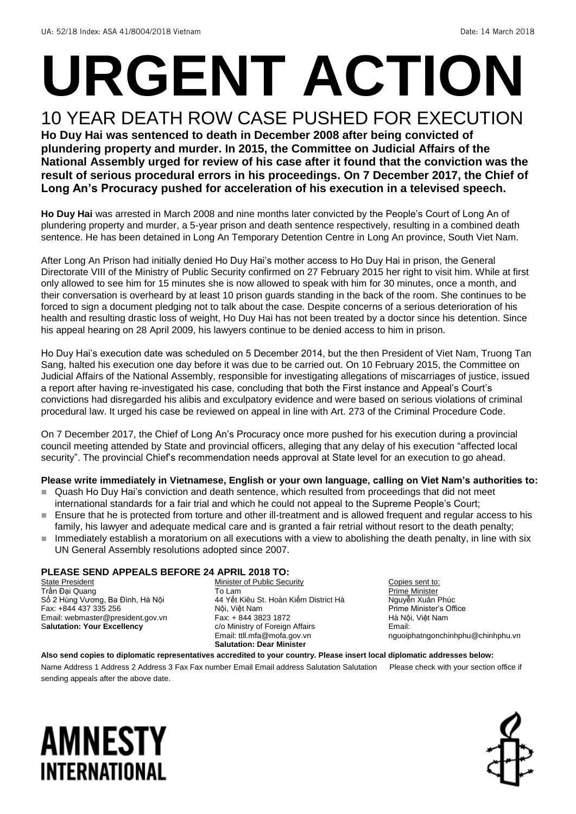## **URGENT ACTION** 10 YEAR DEATH ROW CASE PUSHED FOR EXECUTION

**Ho Duy Hai was sentenced to death in December 2008 after being convicted of plundering property and murder. In 2015, the Committee on Judicial Affairs of the National Assembly urged for review of his case after it found that the conviction was the result of serious procedural errors in his proceedings. On 7 December 2017, the Chief of Long An's Procuracy pushed for acceleration of his execution in a televised speech.** 

**Ho Duy Hai** was arrested in March 2008 and nine months later convicted by the People's Court of Long An of plundering property and murder, a 5-year prison and death sentence respectively, resulting in a combined death sentence. He has been detained in Long An Temporary Detention Centre in Long An province, South Viet Nam.

After Long An Prison had initially denied Ho Duy Hai's mother access to Ho Duy Hai in prison, the General Directorate VIII of the Ministry of Public Security confirmed on 27 February 2015 her right to visit him. While at first only allowed to see him for 15 minutes she is now allowed to speak with him for 30 minutes, once a month, and their conversation is overheard by at least 10 prison guards standing in the back of the room. She continues to be forced to sign a document pledging not to talk about the case. Despite concerns of a serious deterioration of his health and resulting drastic loss of weight, Ho Duy Hai has not been treated by a doctor since his detention. Since his appeal hearing on 28 April 2009, his lawyers continue to be denied access to him in prison.

Ho Duy Hai's execution date was scheduled on 5 December 2014, but the then President of Viet Nam, Truong Tan Sang, halted his execution one day before it was due to be carried out. On 10 February 2015, the Committee on Judicial Affairs of the National Assembly, responsible for investigating allegations of miscarriages of justice, issued a report after having re-investigated his case, concluding that both the First instance and Appeal's Court's convictions had disregarded his alibis and exculpatory evidence and were based on serious violations of criminal procedural law. It urged his case be reviewed on appeal in line with Art. 273 of the Criminal Procedure Code.

On 7 December 2017, the Chief of Long An's Procuracy once more pushed for his execution during a provincial council meeting attended by State and provincial officers, alleging that any delay of his execution "affected local security". The provincial Chief's recommendation needs approval at State level for an execution to go ahead.

### **Please write immediately in Vietnamese, English or your own language, calling on Viet Nam's authorities to:**

- Quash Ho Duy Hai's conviction and death sentence, which resulted from proceedings that did not meet international standards for a fair trial and which he could not appeal to the Supreme People's Court;
- Ensure that he is protected from torture and other ill-treatment and is allowed frequent and regular access to his family, his lawyer and adequate medical care and is granted a fair retrial without resort to the death penalty;
- Immediately establish a moratorium on all executions with a view to abolishing the death penalty, in line with six UN General Assembly resolutions adopted since 2007.

#### **PLEASE SEND APPEALS BEFORE 24 APRIL 2018 TO:**

**State President** Trần Đại Quang Số 2 Hùng Vương, Ba Đình, Hà Nội Fax: +844 437 335 256 Email: webmaster@president.gov.vn S**alutation: Your Excellency**

Minister of Public Security To Lam 44 Yết Kiêu St. Hoàn Kiếm District Hà Nội, Việt Nam Fax: + 844 3823 1872 c/o Ministry of Foreign Affairs Email: ttll.mfa@mofa.gov.vn **Salutation: Dear Minister**

Copies sent to: Prime Minister Nguyễn Xuân Phúc Prime Minister's Office Hà Nội, Việt Nam Email: nguoiphatngonchinhphu@chinhphu.vn

**Also send copies to diplomatic representatives accredited to your country. Please insert local diplomatic addresses below:** Name Address 1 Address 2 Address 3 Fax Fax number Email Email address Salutation Salutation Please check with your section office if sending appeals after the above date.